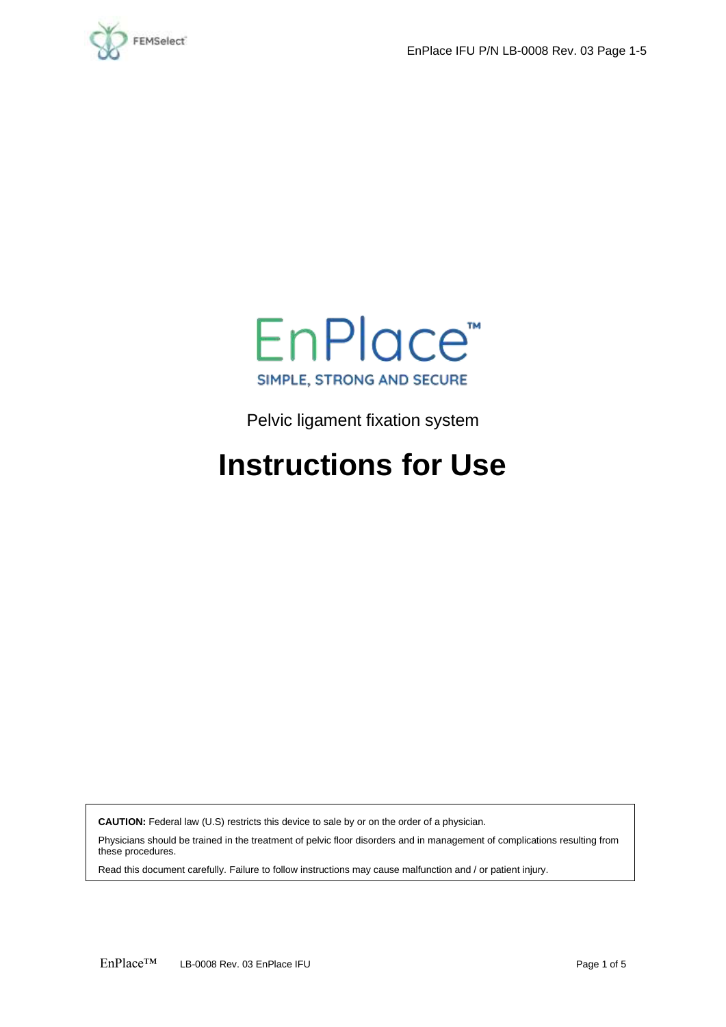



Pelvic ligament fixation system

# **Instructions for Use**

**CAUTION:** Federal law (U.S) restricts this device to sale by or on the order of a physician.

Physicians should be trained in the treatment of pelvic floor disorders and in management of complications resulting from these procedures.

Read this document carefully. Failure to follow instructions may cause malfunction and / or patient injury.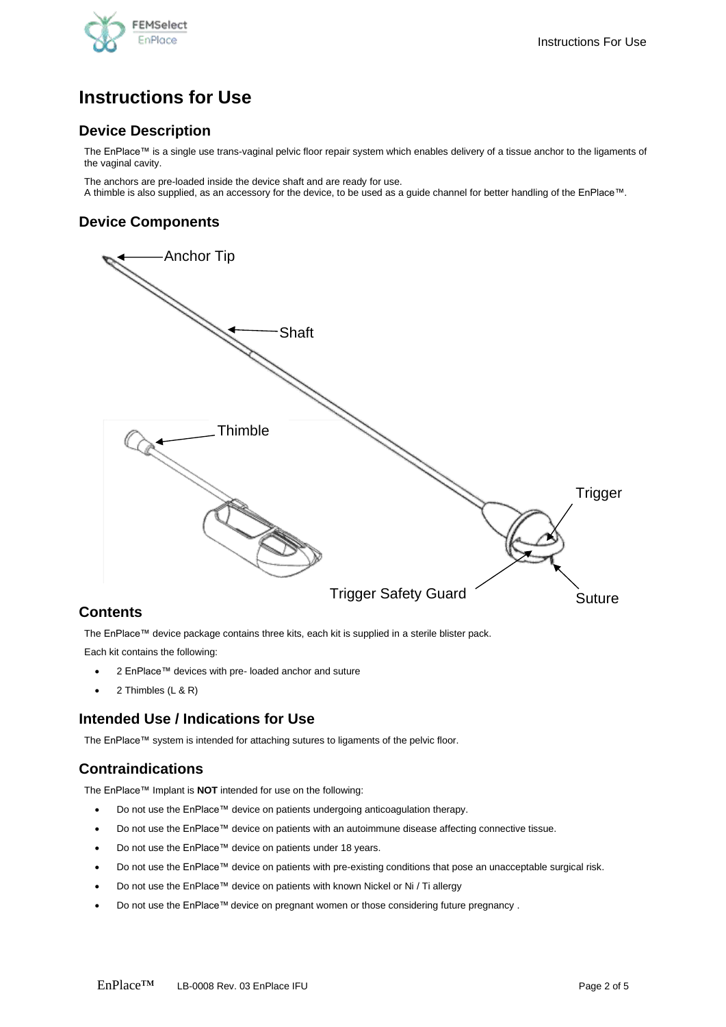

## **Instructions for Use**

## **Device Description**

The EnPlace™ is a single use trans-vaginal pelvic floor repair system which enables delivery of a tissue anchor to the ligaments of the vaginal cavity.

The anchors are pre-loaded inside the device shaft and are ready for use. A thimble is also supplied, as an accessory for the device, to be used as a guide channel for better handling of the EnPlace™.

## **Device Components**



## **Contents**

The EnPlace™ device package contains three kits, each kit is supplied in a sterile blister pack.

Each kit contains the following:

- 2 EnPlace™ devices with pre- loaded anchor and suture
- 2 Thimbles (L & R)

## **Intended Use / Indications for Use**

The EnPlace™ system is intended for attaching sutures to ligaments of the pelvic floor.

## **Contraindications**

The EnPlace™ Implant is **NOT** intended for use on the following:

- Do not use the EnPlace™ device on patients undergoing anticoagulation therapy.
- Do not use the EnPlace™ device on patients with an autoimmune disease affecting connective tissue.
- Do not use the EnPlace™ device on patients under 18 years.
- Do not use the EnPlace™ device on patients with pre-existing conditions that pose an unacceptable surgical risk.
- Do not use the EnPlace™ device on patients with known Nickel or Ni / Ti allergy
- Do not use the EnPlace™ device on pregnant women or those considering future pregnancy .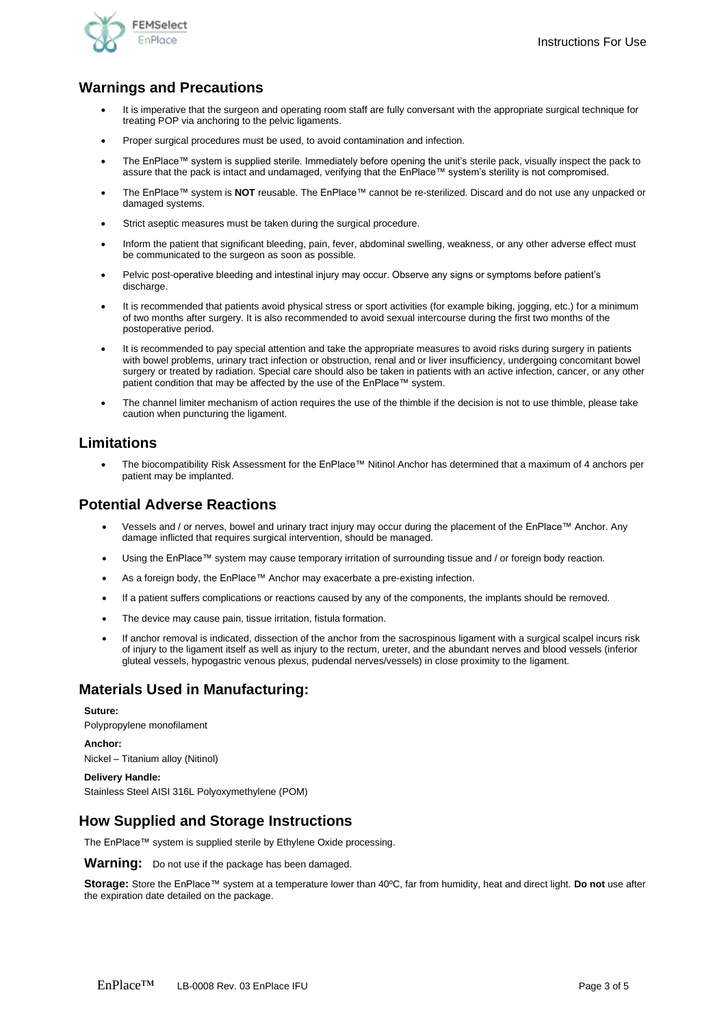

## **Warnings and Precautions**

- It is imperative that the surgeon and operating room staff are fully conversant with the appropriate surgical technique for treating POP via anchoring to the pelvic ligaments.
- Proper surgical procedures must be used, to avoid contamination and infection.
- The EnPlace™ system is supplied sterile. Immediately before opening the unit's sterile pack, visually inspect the pack to assure that the pack is intact and undamaged, verifying that the EnPlace™ system's sterility is not compromised.
- The EnPlace™ system is **NOT** reusable. The EnPlace™ cannot be re-sterilized. Discard and do not use any unpacked or damaged systems.
- Strict aseptic measures must be taken during the surgical procedure.
- Inform the patient that significant bleeding, pain, fever, abdominal swelling, weakness, or any other adverse effect must be communicated to the surgeon as soon as possible.
- Pelvic post-operative bleeding and intestinal injury may occur. Observe any signs or symptoms before patient's discharge
- It is recommended that patients avoid physical stress or sport activities (for example biking, jogging, etc.) for a minimum of two months after surgery. It is also recommended to avoid sexual intercourse during the first two months of the postoperative period.
- It is recommended to pay special attention and take the appropriate measures to avoid risks during surgery in patients with bowel problems, urinary tract infection or obstruction, renal and or liver insufficiency, undergoing concomitant bowel surgery or treated by radiation. Special care should also be taken in patients with an active infection, cancer, or any other patient condition that may be affected by the use of the EnPlace™ system.
- The channel limiter mechanism of action requires the use of the thimble if the decision is not to use thimble, please take caution when puncturing the ligament.

### **Limitations**

• The biocompatibility Risk Assessment for the EnPlace™ Nitinol Anchor has determined that a maximum of 4 anchors per patient may be implanted.

## **Potential Adverse Reactions**

- Vessels and / or nerves, bowel and urinary tract injury may occur during the placement of the EnPlace™ Anchor. Any damage inflicted that requires surgical intervention, should be managed.
- Using the EnPlace™ system may cause temporary irritation of surrounding tissue and / or foreign body reaction.
- As a foreign body, the EnPlace™ Anchor may exacerbate a pre-existing infection.
- If a patient suffers complications or reactions caused by any of the components, the implants should be removed.
- The device may cause pain, tissue irritation, fistula formation.
- If anchor removal is indicated, dissection of the anchor from the sacrospinous ligament with a surgical scalpel incurs risk of injury to the ligament itself as well as injury to the rectum, ureter, and the abundant nerves and blood vessels (inferior gluteal vessels, hypogastric venous plexus, pudendal nerves/vessels) in close proximity to the ligament.

## **Materials Used in Manufacturing:**

#### **Suture:**

Polypropylene monofilament

#### **Anchor:**

Nickel – Titanium alloy (Nitinol)

#### **Delivery Handle:**

Stainless Steel AISI 316L Polyoxymethylene (POM)

## **How Supplied and Storage Instructions**

The EnPlace™ system is supplied sterile by Ethylene Oxide processing.

**Warning:** Do not use if the package has been damaged.

**Storage:** Store the EnPlace™ system at a temperature lower than 40ºC, far from humidity, heat and direct light. **Do not** use after the expiration date detailed on the package.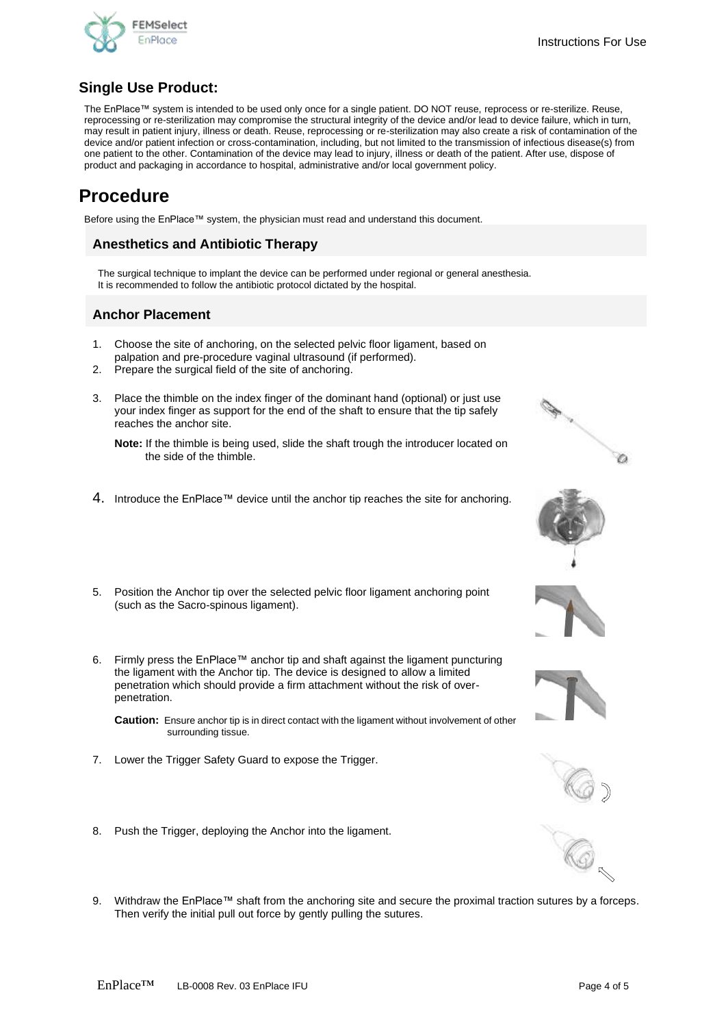

## **Single Use Product:**

The EnPlace™ system is intended to be used only once for a single patient. DO NOT reuse, reprocess or re-sterilize. Reuse, reprocessing or re-sterilization may compromise the structural integrity of the device and/or lead to device failure, which in turn, may result in patient injury, illness or death. Reuse, reprocessing or re-sterilization may also create a risk of contamination of the device and/or patient infection or cross-contamination, including, but not limited to the transmission of infectious disease(s) from one patient to the other. Contamination of the device may lead to injury, illness or death of the patient. After use, dispose of product and packaging in accordance to hospital, administrative and/or local government policy.

## **Procedure**

Before using the EnPlace™ system, the physician must read and understand this document.

### **Anesthetics and Antibiotic Therapy**

The surgical technique to implant the device can be performed under regional or general anesthesia. It is recommended to follow the antibiotic protocol dictated by the hospital.

## **Anchor Placement**

- 1. Choose the site of anchoring, on the selected pelvic floor ligament, based on palpation and pre-procedure vaginal ultrasound (if performed).
- 2. Prepare the surgical field of the site of anchoring.
- 3. Place the thimble on the index finger of the dominant hand (optional) or just use your index finger as support for the end of the shaft to ensure that the tip safely reaches the anchor site.

**Note:** If the thimble is being used, slide the shaft trough the introducer located on the side of the thimble.

- 4. Introduce the EnPlace™ device until the anchor tip reaches the site for anchoring.
- 5. Position the Anchor tip over the selected pelvic floor ligament anchoring point (such as the Sacro-spinous ligament).
- 6. Firmly press the EnPlace™ anchor tip and shaft against the ligament puncturing the ligament with the Anchor tip. The device is designed to allow a limited penetration which should provide a firm attachment without the risk of overpenetration.

**Caution:** Ensure anchor tip is in direct contact with the ligament without involvement of other surrounding tissue.

- 7. Lower the Trigger Safety Guard to expose the Trigger.
- 8. Push the Trigger, deploying the Anchor into the ligament.
- 9. Withdraw the EnPlace™ shaft from the anchoring site and secure the proximal traction sutures by a forceps. Then verify the initial pull out force by gently pulling the sutures.